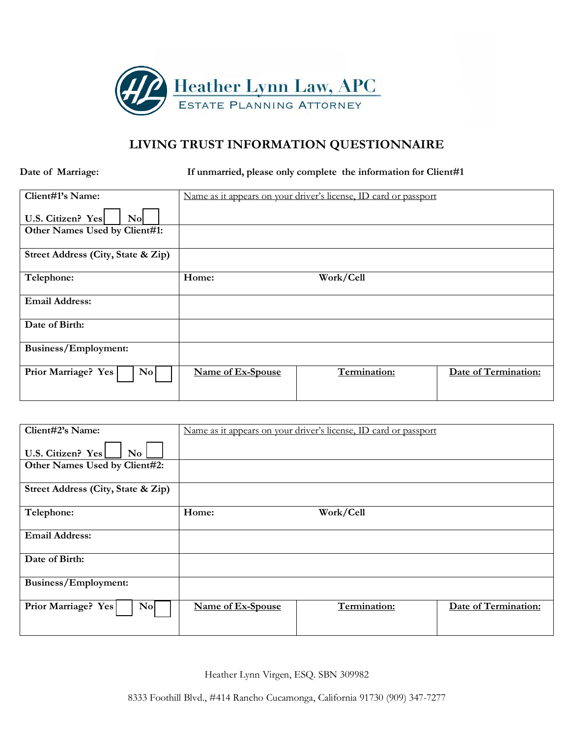

# **LIVING TRUST INFORMATION QUESTIONNAIRE**

**Date of Marriage: If unmarried, please only complete the information for Client#1** 

| Client#1's Name:                              | Name as it appears on your driver's license, ID card or passport |              |                      |
|-----------------------------------------------|------------------------------------------------------------------|--------------|----------------------|
| U.S. Citizen? Yes<br>No                       |                                                                  |              |                      |
| Other Names Used by Client#1:                 |                                                                  |              |                      |
| Street Address (City, State & Zip)            |                                                                  |              |                      |
| Telephone:                                    | Home:                                                            | Work/Cell    |                      |
| <b>Email Address:</b>                         |                                                                  |              |                      |
| Date of Birth:                                |                                                                  |              |                      |
| Business/Employment:                          |                                                                  |              |                      |
| Prior Marriage? Yes<br>$\mathbf{N}\mathbf{o}$ | Name of Ex-Spouse                                                | Termination: | Date of Termination: |

| Client#2's Name:                                 | Name as it appears on your driver's license, ID card or passport |              |                      |
|--------------------------------------------------|------------------------------------------------------------------|--------------|----------------------|
| U.S. Citizen? Yes<br>$\mathbf{N}\mathbf{o}$      |                                                                  |              |                      |
| Other Names Used by Client#2:                    |                                                                  |              |                      |
| Street Address (City, State & Zip)               |                                                                  |              |                      |
| Telephone:                                       | Home:                                                            | Work/Cell    |                      |
| <b>Email Address:</b>                            |                                                                  |              |                      |
| Date of Birth:                                   |                                                                  |              |                      |
| Business/Employment:                             |                                                                  |              |                      |
| Prior Marriage? Yes<br>$\mathbf{N}$ <sub>o</sub> | Name of Ex-Spouse                                                | Termination: | Date of Termination: |

Heather Lynn Virgen, ESQ. SBN 309982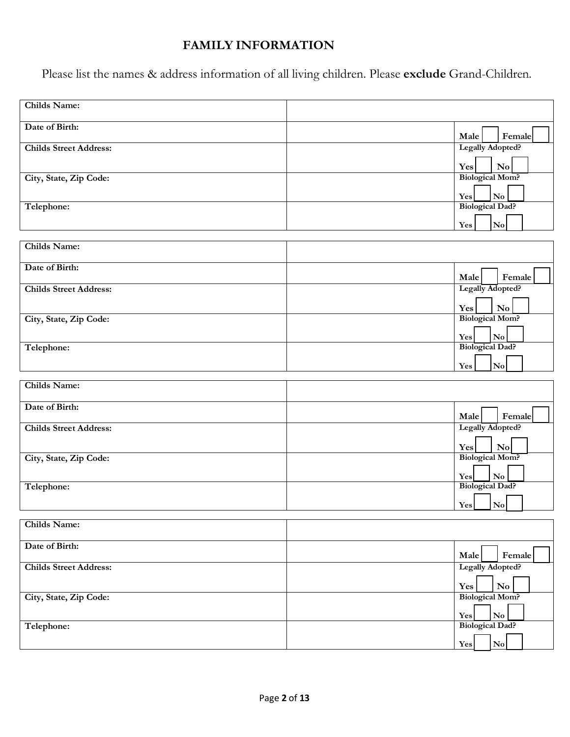# **FAMILY INFORMATION**

Please list the names & address information of all living children. Please **exclude** Grand-Children.

| <b>Childs Name:</b>           |                                                         |
|-------------------------------|---------------------------------------------------------|
| Date of Birth:                | Male<br>Female                                          |
| <b>Childs Street Address:</b> | Legally Adopted?                                        |
|                               | $\mathbf{N}\mathbf{o}$<br>Yes                           |
| City, State, Zip Code:        | <b>Biological Mom?</b>                                  |
|                               | $\overline{\bf No}$<br>Yes                              |
| Telephone:                    | <b>Biological Dad?</b>                                  |
|                               | No<br>Yes                                               |
| <b>Childs Name:</b>           |                                                         |
| Date of Birth:                |                                                         |
|                               | Female<br>Male                                          |
| <b>Childs Street Address:</b> | Legally Adopted?                                        |
| City, State, Zip Code:        | Yes<br>$\mathbf {No}$<br><b>Biological Mom?</b>         |
|                               | $\mathbf{N}\mathbf{o}$<br>Yes                           |
| Telephone:                    | <b>Biological Dad?</b>                                  |
|                               | $\overline{\text{No}}$<br>Yes                           |
| <b>Childs Name:</b>           |                                                         |
|                               |                                                         |
| Date of Birth:                | Female<br>Male                                          |
| <b>Childs Street Address:</b> | Legally Adopted?                                        |
|                               | Yes<br>No                                               |
| City, State, Zip Code:        | <b>Biological Mom?</b>                                  |
| Telephone:                    | $\mathbf{N}\mathbf{o}$<br>Yes<br><b>Biological Dad?</b> |
|                               | $\mathbf {No}$<br>Yes                                   |
|                               |                                                         |
| Childs Name:                  |                                                         |
| Date of Birth:                | Male<br>Female                                          |
| <b>Childs Street Address:</b> | Legally Adopted?                                        |
|                               | $\mathbf{N}\mathbf{o}$<br>Yes                           |
| City, State, Zip Code:        | <b>Biological Mom?</b>                                  |
|                               | $\bf No$<br>Yes                                         |
| Telephone:                    | <b>Biological Dad?</b>                                  |
|                               | $\mathbf{N}\mathbf{o}$<br>Yes                           |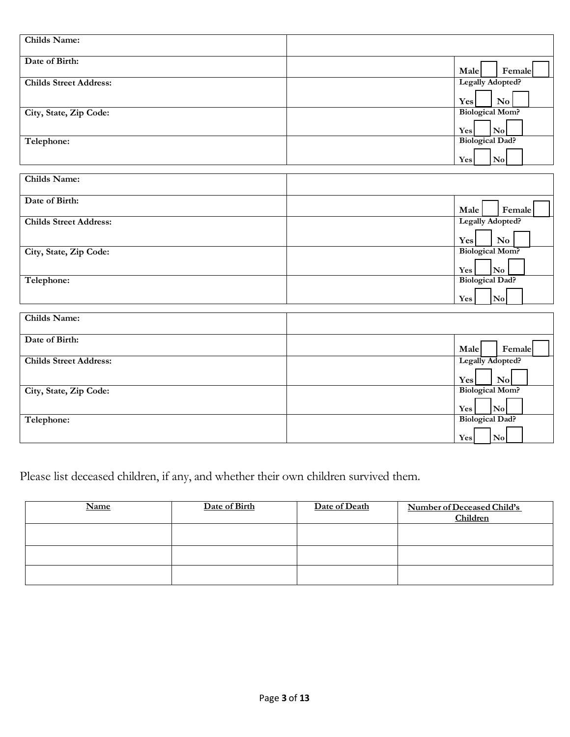| <b>Childs Name:</b>           |                                                         |
|-------------------------------|---------------------------------------------------------|
|                               |                                                         |
| Date of Birth:                | Male<br>Female                                          |
| <b>Childs Street Address:</b> | Legally Adopted?                                        |
|                               |                                                         |
|                               | $\mathbf{N}\mathbf{o}$<br>Yes<br><b>Biological Mom?</b> |
| City, State, Zip Code:        |                                                         |
|                               | $\overline{\text{No}}$<br>Yes                           |
| Telephone:                    | <b>Biological Dad?</b>                                  |
|                               | $\mathbf{N}\mathbf{o}$<br>Yes                           |
|                               |                                                         |
| <b>Childs Name:</b>           |                                                         |
| Date of Birth:                |                                                         |
|                               | Female<br>Male                                          |
| <b>Childs Street Address:</b> | <b>Legally Adopted?</b>                                 |
|                               | $\mathbf{N}\mathbf{o}$<br>Yes                           |
| City, State, Zip Code:        | <b>Biological Mom?</b>                                  |
|                               | $\overline{\bf No}$<br>Yes                              |
| Telephone:                    | <b>Biological Dad?</b>                                  |
|                               | No<br>Yes                                               |
|                               |                                                         |
| <b>Childs Name:</b>           |                                                         |
| Date of Birth:                |                                                         |
|                               | Male<br>Female                                          |
| <b>Childs Street Address:</b> | Legally Adopted?                                        |
|                               | No<br>Yes                                               |
| City, State, Zip Code:        | <b>Biological Mom?</b>                                  |
|                               |                                                         |
| Telephone:                    | $ N_0 $<br>Yes<br><b>Biological Dad?</b>                |
|                               |                                                         |
|                               | $\vert$ No $\vert$<br>Yes                               |

Please list deceased children, if any, and whether their own children survived them.

| <b>Name</b> | Date of Birth | Date of Death | Number of Deceased Child's<br>Children |
|-------------|---------------|---------------|----------------------------------------|
|             |               |               |                                        |
|             |               |               |                                        |
|             |               |               |                                        |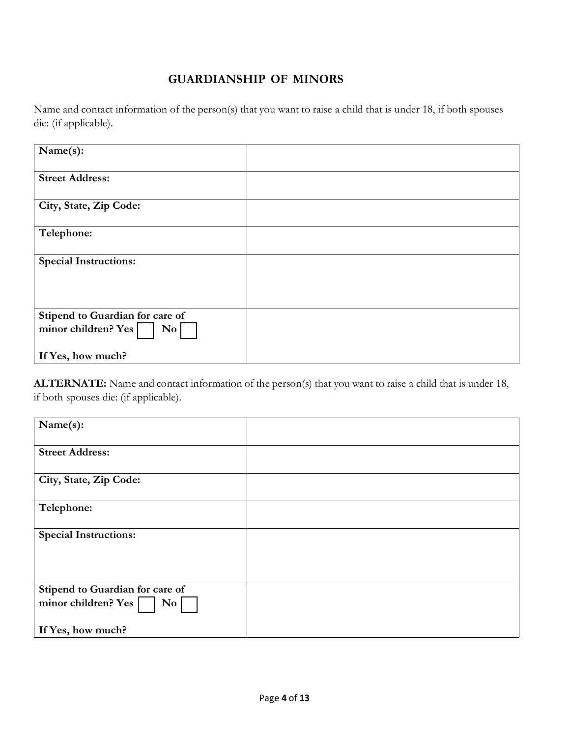# **GUARDIANSHIP OF MINORS**

Name and contact information of the person(s) that you want to raise a child that is under 18, if both spouses die: (if applicable).

| Name(s):                                |  |
|-----------------------------------------|--|
|                                         |  |
| <b>Street Address:</b>                  |  |
|                                         |  |
|                                         |  |
| City, State, Zip Code:                  |  |
|                                         |  |
| Telephone:                              |  |
|                                         |  |
|                                         |  |
| <b>Special Instructions:</b>            |  |
|                                         |  |
|                                         |  |
|                                         |  |
|                                         |  |
| Stipend to Guardian for care of         |  |
| minor children? Yes<br>$\overline{N_0}$ |  |
|                                         |  |
|                                         |  |
| If Yes, how much?                       |  |

**ALTERNATE:** Name and contact information of the person(s) that you want to raise a child that is under 18, if both spouses die: (if applicable).

| Name(s):                         |  |
|----------------------------------|--|
| <b>Street Address:</b>           |  |
| City, State, Zip Code:           |  |
| Telephone:                       |  |
| <b>Special Instructions:</b>     |  |
|                                  |  |
| Stipend to Guardian for care of  |  |
| minor children? Yes<br>$\bf{No}$ |  |
| If Yes, how much?                |  |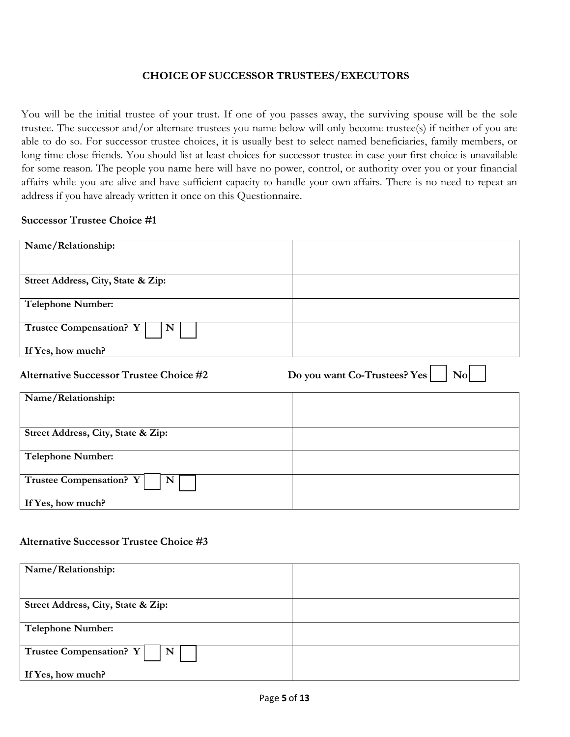#### **CHOICE OF SUCCESSOR TRUSTEES/EXECUTORS**

You will be the initial trustee of your trust. If one of you passes away, the surviving spouse will be the sole trustee. The successor and/or alternate trustees you name below will only become trustee(s) if neither of you are able to do so. For successor trustee choices, it is usually best to select named beneficiaries, family members, or long-time close friends. You should list at least choices for successor trustee in case your first choice is unavailable for some reason. The people you name here will have no power, control, or authority over you or your financial affairs while you are alive and have sufficient capacity to handle your own affairs. There is no need to repeat an address if you have already written it once on this Questionnaire.

#### **Successor Trustee Choice #1**

| Name/Relationship:                             |                                                        |
|------------------------------------------------|--------------------------------------------------------|
|                                                |                                                        |
| Street Address, City, State & Zip:             |                                                        |
| <b>Telephone Number:</b>                       |                                                        |
| Trustee Compensation? Y<br>N                   |                                                        |
| If Yes, how much?                              |                                                        |
| <b>Alternative Successor Trustee Choice #2</b> | Do you want Co-Trustees? Yes<br>$\mathbf{N}\mathbf{o}$ |
| Name/Relationship:                             |                                                        |
| Street Address, City, State & Zip:             |                                                        |

| Street Address, City, State & Zip: |  |
|------------------------------------|--|
| <b>Telephone Number:</b>           |  |
| Trustee Compensation? Y     N      |  |
| If Yes, how much?                  |  |

#### **Alternative Successor Trustee Choice #3**

| Name/Relationship:                        |  |
|-------------------------------------------|--|
|                                           |  |
| Street Address, City, State & Zip:        |  |
|                                           |  |
|                                           |  |
| <b>Telephone Number:</b>                  |  |
|                                           |  |
| Trustee Compensation? Y  <br>$\mathbf{N}$ |  |
| If Yes, how much?                         |  |
|                                           |  |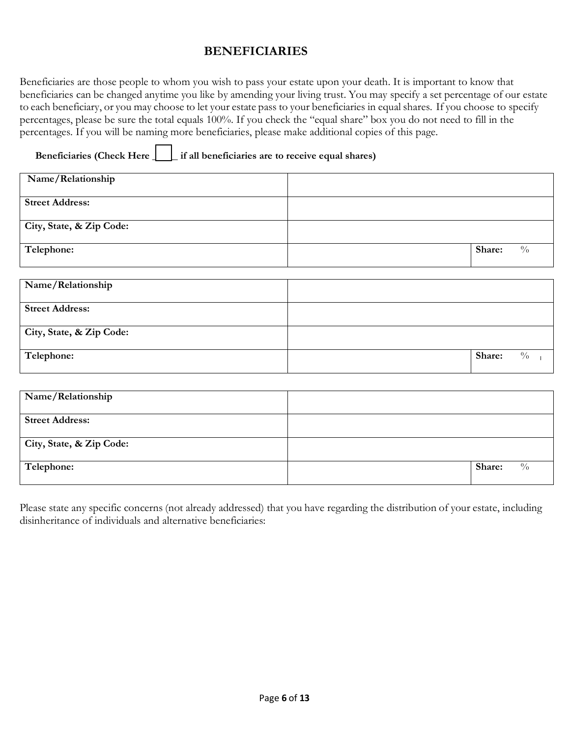## **BENEFICIARIES**

Beneficiaries are those people to whom you wish to pass your estate upon your death. It is important to know that beneficiaries can be changed anytime you like by amending your living trust. You may specify a set percentage of our estate to each beneficiary, or you may choose to let your estate pass to your beneficiaries in equal shares. If you choose to specify percentages, please be sure the total equals 100%. If you check the "equal share" box you do not need to fill in the percentages. If you will be naming more beneficiaries, please make additional copies of this page.

**Beneficiaries (Check Here \_\_\_\_\_ if all beneficiaries are to receive equal shares)** 

| Name/Relationship        |                         |
|--------------------------|-------------------------|
| <b>Street Address:</b>   |                         |
| City, State, & Zip Code: |                         |
| Telephone:               | Share:<br>$\frac{0}{0}$ |
|                          |                         |
| Name/Relationship        |                         |
| <b>Street Address:</b>   |                         |
| City, State, & Zip Code: |                         |
| Telephone:               | Share:<br>$\frac{0}{0}$ |

| Name/Relationship        |                         |
|--------------------------|-------------------------|
| <b>Street Address:</b>   |                         |
| City, State, & Zip Code: |                         |
| Telephone:               | Share:<br>$\frac{0}{0}$ |

Please state any specific concerns (not already addressed) that you have regarding the distribution of your estate, including disinheritance of individuals and alternative beneficiaries: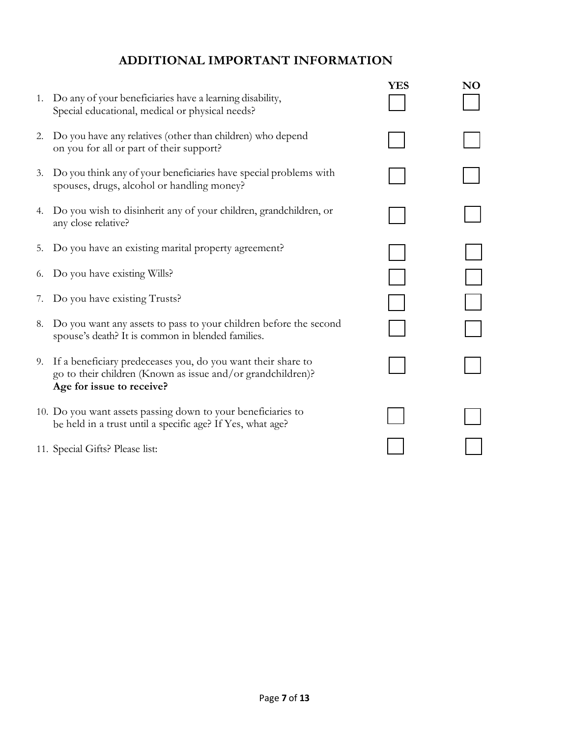# **ADDITIONAL IMPORTANT INFORMATION**

|                                                                                                                                                          |                                                                                                                                                                                                  | NO  |
|----------------------------------------------------------------------------------------------------------------------------------------------------------|--------------------------------------------------------------------------------------------------------------------------------------------------------------------------------------------------|-----|
| Special educational, medical or physical needs?                                                                                                          |                                                                                                                                                                                                  |     |
| Do you have any relatives (other than children) who depend<br>on you for all or part of their support?                                                   |                                                                                                                                                                                                  |     |
| Do you think any of your beneficiaries have special problems with<br>spouses, drugs, alcohol or handling money?                                          |                                                                                                                                                                                                  |     |
| Do you wish to disinherit any of your children, grandchildren, or<br>any close relative?                                                                 |                                                                                                                                                                                                  |     |
| Do you have an existing marital property agreement?                                                                                                      |                                                                                                                                                                                                  |     |
|                                                                                                                                                          |                                                                                                                                                                                                  |     |
| Do you have existing Trusts?                                                                                                                             |                                                                                                                                                                                                  |     |
| Do you want any assets to pass to your children before the second<br>spouse's death? It is common in blended families.                                   |                                                                                                                                                                                                  |     |
| If a beneficiary predeceases you, do you want their share to<br>go to their children (Known as issue and/or grandchildren)?<br>Age for issue to receive? |                                                                                                                                                                                                  |     |
| be held in a trust until a specific age? If Yes, what age?                                                                                               |                                                                                                                                                                                                  |     |
|                                                                                                                                                          |                                                                                                                                                                                                  |     |
|                                                                                                                                                          | 1. Do any of your beneficiaries have a learning disability,<br>6. Do you have existing Wills?<br>10. Do you want assets passing down to your beneficiaries to<br>11. Special Gifts? Please list: | YES |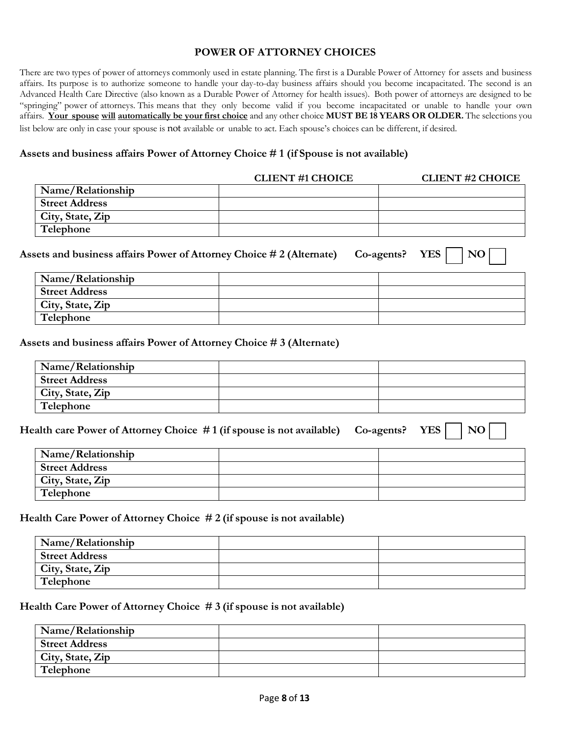#### **POWER OF ATTORNEY CHOICES**

There are two types of power of attorneys commonly used in estate planning. The first is a Durable Power of Attorney for assets and business affairs. Its purpose is to authorize someone to handle your day-to-day business affairs should you become incapacitated. The second is an Advanced Health Care Directive (also known as a Durable Power of Attorney for health issues). Both power of attorneys are designed to be "springing" power of attorneys. This means that they only become valid if you become incapacitated or unable to handle your own affairs. Your spouse will automatically be your first choice and any other choice MUST BE 18 YEARS OR OLDER. The selections you list below are only in case your spouse is not available or unable to act. Each spouse's choices can be different, if desired.

#### **Assets and business affairs Power of Attorney Choice # 1 (if Spouse is not available)**

|                       | <b>CLIENT #1 CHOICE</b> | <b>CLIENT #2 CHOICE</b> |
|-----------------------|-------------------------|-------------------------|
| Name/Relationship     |                         |                         |
| <b>Street Address</b> |                         |                         |
| City, State, Zip      |                         |                         |
| Telephone             |                         |                         |

| Assets and business affairs Power of Attorney Choice #2 (Alternate) |  | $Co\text{-agents?}$ YES $\vert$ $\vert$ NO $\vert$ |
|---------------------------------------------------------------------|--|----------------------------------------------------|
| Name/Relationship                                                   |  |                                                    |
| <b>Street Address</b>                                               |  |                                                    |
| City, State, Zip                                                    |  |                                                    |
| Telephone                                                           |  |                                                    |

**Assets and business affairs Power of Attorney Choice # 3 (Alternate)** 

| Name/Relationship     |  |
|-----------------------|--|
| <b>Street Address</b> |  |
| City, State, Zip      |  |
| Telephone             |  |

| Health care Power of Attorney Choice #1 (if spouse is not available) Co-agents? YES     NO |  |  |  |  |
|--------------------------------------------------------------------------------------------|--|--|--|--|
|--------------------------------------------------------------------------------------------|--|--|--|--|

| Name/Relationship     |  |
|-----------------------|--|
| <b>Street Address</b> |  |
| City, State, Zip      |  |
| Telephone             |  |

**Health Care Power of Attorney Choice # 2 (if spouse is not available)**

| Name/Relationship     |  |
|-----------------------|--|
| <b>Street Address</b> |  |
| City, State, Zip      |  |
| Telephone             |  |

**Health Care Power of Attorney Choice # 3 (if spouse is not available)** 

| Name/Relationship     |  |
|-----------------------|--|
| <b>Street Address</b> |  |
| City, State, Zip      |  |
| Telephone             |  |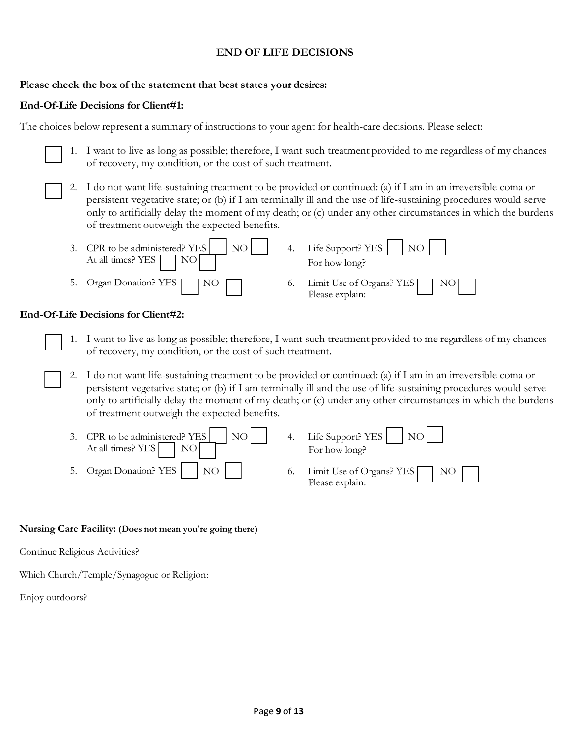#### **END OF LIFE DECISIONS**

#### **Please check the box of the statement that best states your desires:**

#### **End-Of-Life Decisions for Client#1:**

The choices below represent a summary of instructions to your agent for health-care decisions. Please select:

- 1. I want to live as long as possible; therefore, I want such treatment provided to me regardless of my chances of recovery, my condition, or the cost of such treatment.
- 2. I do not want life-sustaining treatment to be provided or continued: (a) if I am in an irreversible coma or persistent vegetative state; or (b) if I am terminally ill and the use of life-sustaining procedures would serve only to artificially delay the moment of my death; or (c) under any other circumstances in which the burdens of treatment outweigh the expected benefits.



#### **End-Of-Life Decisions for Client#2:**

- 1. I want to live as long as possible; therefore, I want such treatment provided to me regardless of my chances of recovery, my condition, or the cost of such treatment.
- 2. I do not want life-sustaining treatment to be provided or continued: (a) if I am in an irreversible coma or persistent vegetative state; or (b) if I am terminally ill and the use of life-sustaining procedures would serve only to artificially delay the moment of my death; or (c) under any other circumstances in which the burdens of treatment outweigh the expected benefits.

| 3. CPR to be administered? YES $\vert$ NO $\vert$<br>At all times? YES NO | 4. Life Support? YES NO<br>For how long?       |
|---------------------------------------------------------------------------|------------------------------------------------|
| 5. Organ Donation? YES NO                                                 | 6. Limit Use of Organs? YES NO Please explain: |

#### **Nursing Care Facility: (Does not mean you're going there)**

Continue Religious Activities?

Which Church/Temple/Synagogue or Religion:

Enjoy outdoors?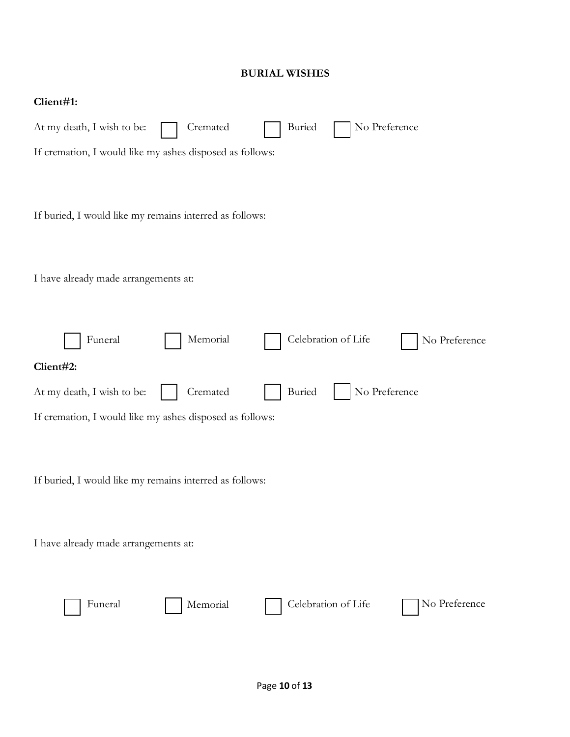### **BURIAL WISHES**

| Client#1:                                                                |
|--------------------------------------------------------------------------|
| At my death, I wish to be:<br>Cremated<br>Buried<br>No Preference        |
| If cremation, I would like my ashes disposed as follows:                 |
| If buried, I would like my remains interred as follows:                  |
| I have already made arrangements at:                                     |
| Memorial<br>Celebration of Life<br>Funeral<br>No Preference              |
| Client#2:                                                                |
| No Preference<br>Cremated<br><b>Buried</b><br>At my death, I wish to be: |
| If cremation, I would like my ashes disposed as follows:                 |
| If buried, I would like my remains interred as follows:                  |
|                                                                          |
| I have already made arrangements at:                                     |
| Celebration of Life<br>No Preference<br>Funeral<br>Memorial              |
|                                                                          |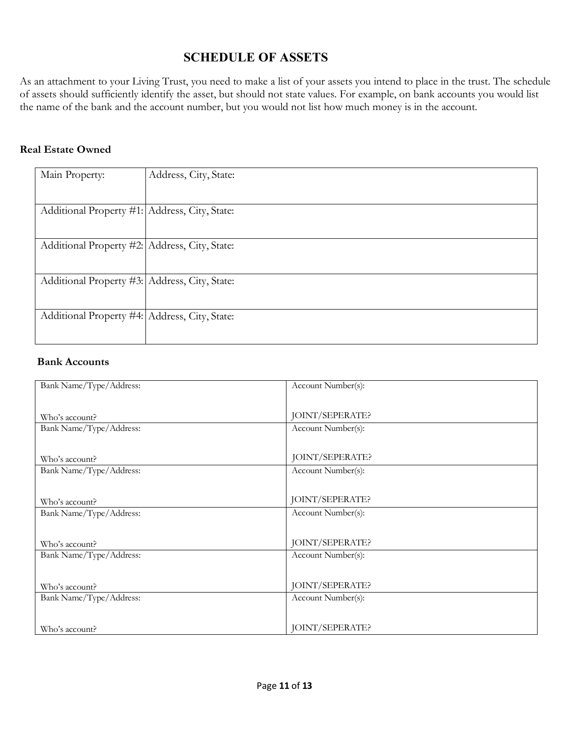# **SCHEDULE OF ASSETS**

As an attachment to your Living Trust, you need to make a list of your assets you intend to place in the trust. The schedule of assets should sufficiently identify the asset, but should not state values. For example, on bank accounts you would list the name of the bank and the account number, but you would not list how much money is in the account.

#### **Real Estate Owned**

| Main Property:                                | Address, City, State: |
|-----------------------------------------------|-----------------------|
| Additional Property #1: Address, City, State: |                       |
| Additional Property #2: Address, City, State: |                       |
| Additional Property #3: Address, City, State: |                       |
| Additional Property #4: Address, City, State: |                       |

#### **Bank Accounts**

| Bank Name/Type/Address: | Account Number(s): |
|-------------------------|--------------------|
|                         |                    |
| Who's account?          | JOINT/SEPERATE?    |
| Bank Name/Type/Address: | Account Number(s): |
|                         |                    |
| Who's account?          | JOINT/SEPERATE?    |
| Bank Name/Type/Address: | Account Number(s): |
|                         |                    |
| Who's account?          | JOINT/SEPERATE?    |
| Bank Name/Type/Address: | Account Number(s): |
|                         |                    |
| Who's account?          | JOINT/SEPERATE?    |
| Bank Name/Type/Address: | Account Number(s): |
|                         |                    |
| Who's account?          | JOINT/SEPERATE?    |
| Bank Name/Type/Address: | Account Number(s): |
|                         |                    |
| Who's account?          | JOINT/SEPERATE?    |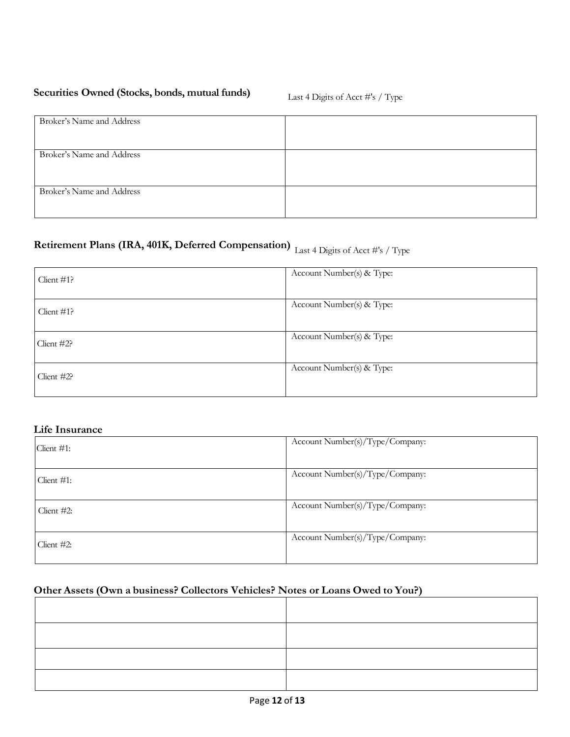# **Securities Owned (Stocks, bonds, mutual funds)** Last 4 Digits of Acct #'s / Type

| Broker's Name and Address |  |
|---------------------------|--|
| Broker's Name and Address |  |
| Broker's Name and Address |  |

# **Retirement Plans (IRA, 401K, Deferred Compensation)** Last 4 Digits of Acct #'s / Type

| Client $#1$ ? | Account Number(s) & Type: |
|---------------|---------------------------|
| Client $#1$ ? | Account Number(s) & Type: |
| Client #2?    | Account Number(s) & Type: |
| Client #2?    | Account Number(s) & Type: |

#### **Life Insurance**

| Client $#1$ : | Account Number(s)/Type/Company: |
|---------------|---------------------------------|
| Client $#1$ : | Account Number(s)/Type/Company: |
| Client #2:    | Account Number(s)/Type/Company: |
| Client $#2$ : | Account Number(s)/Type/Company: |

# **Other Assets (Own a business? Collectors Vehicles? Notes or Loans Owed to You?)**